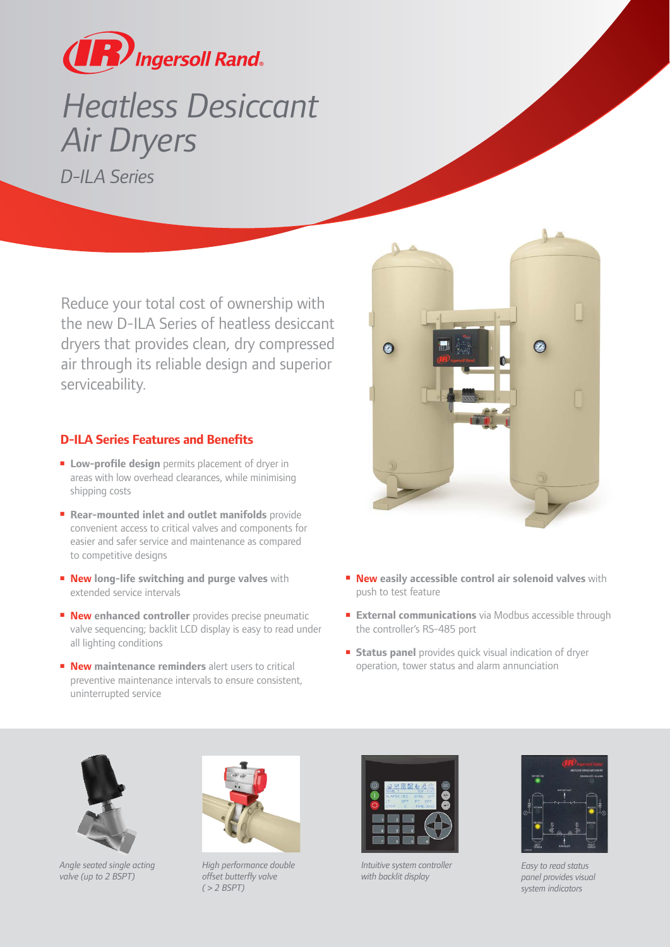

## *Heatless Desiccant Air Dryers D-ILA Series*

Reduce your total cost of ownership with the new D-ILA Series of heatless desiccant dryers that provides clean, dry compressed air through its reliable design and superior serviceability.

## **D-ILA Series Features and Benefits**

- Low-profile design permits placement of dryer in areas with low overhead clearances, while minimising shipping costs
- **Rear-mounted inlet and outlet manifolds** provide convenient access to critical valves and components for easier and safer service and maintenance as compared to competitive designs
- **New long-life switching and purge valves** with extended service intervals
- **New enhanced controller** provides precise pneumatic valve sequencing; backlit LCD display is easy to read under all lighting conditions
- **New maintenance reminders** alert users to critical preventive maintenance intervals to ensure consistent, uninterrupted service



- **New easily accessible control air solenoid valves** with push to test feature
- **External communications** via Modbus accessible through the controller's RS-485 port
- **Status panel** provides quick visual indication of dryer operation, tower status and alarm annunciation



*Angle seated single acting valve (up to 2 BSPT)*



*High performance double offset butterfly valve ( > 2 BSPT)*



*Intuitive system controller with backlit display*



*Easy to read status panel provides visual system indicators*